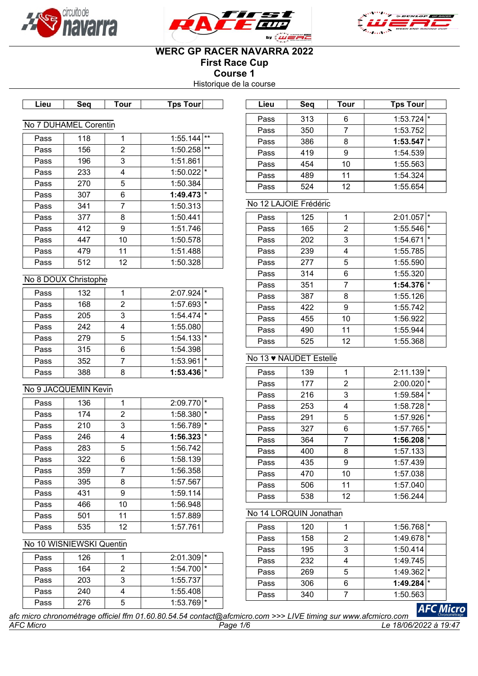





# **WERC GP RACER NAVARRA 2022 First Race Cup**

**Course 1**

Historique de la course

| ∟ieu | Sea | Tour | Tps Tour∣ |  |
|------|-----|------|-----------|--|

| No 7 DUHAMEL Corentin |  |
|-----------------------|--|
|                       |  |
|                       |  |

| Pass | 118 |                | 1:55.144 | **      |
|------|-----|----------------|----------|---------|
| Pass | 156 | $\overline{2}$ | 1:50.258 | $***$   |
| Pass | 196 | 3              | 1:51.861 |         |
| Pass | 233 | 4              | 1:50.022 | I∗      |
| Pass | 270 | 5              | 1:50.384 |         |
| Pass | 307 | 6              | 1:49.473 | $\star$ |
| Pass | 341 | 7              | 1:50.313 |         |
| Pass | 377 | 8              | 1:50.441 |         |
| Pass | 412 | 9              | 1:51.746 |         |
| Pass | 447 | 10             | 1:50.578 |         |
| Pass | 479 | 11             | 1:51.488 |         |
| Pass | 512 | 12             | 1:50.328 |         |

# No 8 DOUX Christophe

| Pass | 132 |   | $2:07.924$ <sup>*</sup> |  |
|------|-----|---|-------------------------|--|
| Pass | 168 | 2 | 1:57.693                |  |
| Pass | 205 | 3 | 1:54.474                |  |
| Pass | 242 |   | 1:55.080                |  |
| Pass | 279 | 5 | $1:54.133$ <sup>*</sup> |  |
| Pass | 315 | 6 | 1:54.398                |  |
| Pass | 352 |   | 1:53.961                |  |
| Pass | 388 |   | 1:53.436                |  |

# No 9 JACQUEMIN Kevin

| Pass | 136 | 1  | 2:09.770 | $\star$ |
|------|-----|----|----------|---------|
| Pass | 174 | 2  | 1:58.380 | $\star$ |
| Pass | 210 | 3  | 1:56.789 | $\star$ |
| Pass | 246 | 4  | 1:56.323 | $\star$ |
| Pass | 283 | 5  | 1:56.742 |         |
| Pass | 322 | 6  | 1:58.139 |         |
| Pass | 359 | 7  | 1:56.358 |         |
| Pass | 395 | 8  | 1:57.567 |         |
| Pass | 431 | 9  | 1:59.114 |         |
| Pass | 466 | 10 | 1:56.948 |         |
| Pass | 501 | 11 | 1:57.889 |         |
| Pass | 535 | 12 | 1:57.761 |         |

## No 10 WISNIEWSKI Quentin

| Pass | 126 | $2:01.309$ <sup>*</sup> |  |
|------|-----|-------------------------|--|
| Pass | 164 | $1:54.700$ <sup>*</sup> |  |
| Pass | 203 | 1:55.737                |  |
| Pass | 240 | 1:55.408                |  |
| Pass | 276 | $1:53.769$ <sup>*</sup> |  |

| Lieu | Seq                  | Tour   | Tps Tour                | Lieu | Seq | <b>Tour</b> | Tps Tour                |
|------|----------------------|--------|-------------------------|------|-----|-------------|-------------------------|
|      |                      |        |                         | Pass | 313 | 6           | $1:53.724$ <sup>*</sup> |
|      | 7 DUHAMEL Corentin   |        |                         | Pass | 350 |             | 1:53.752                |
| Pass | 118                  |        | $1:55.144$ **           |      |     |             |                         |
|      |                      |        |                         | Pass | 386 | 8           | 1:53.547                |
| Pass | 156                  | ⌒      | $1:50.258$ **           | Pass | 419 | 9           | 1:54.539                |
| Pass | 196                  | 3      | 1:51.861                | Pass | 454 | 10          | 1:55.563                |
| Pass | 233                  | 4      | $1:50.022$ <sup>*</sup> | Pass | 489 | 11          | 1:54.324                |
| Pass | 270                  | 5      | 1:50.384                | Pass | 524 | 12          | 1:55.654                |
|      | $\sim$ $\sim$ $\sim$ | $\sim$ | .                       |      |     |             |                         |

# No 12 LAJOIE Frédéric

| Pass | 125 | 1              | 2:01.057 | $\star$  |
|------|-----|----------------|----------|----------|
| Pass | 165 | $\overline{2}$ | 1:55.546 | $\star$  |
| Pass | 202 | 3              | 1:54.671 | *        |
| Pass | 239 | 4              | 1:55.785 |          |
| Pass | 277 | 5              | 1:55.590 |          |
| Pass | 314 | 6              | 1:55.320 |          |
| Pass | 351 | 7              | 1:54.376 | $^\star$ |
| Pass | 387 | 8              | 1:55.126 |          |
| Pass | 422 | 9              | 1:55.742 |          |
| Pass | 455 | 10             | 1:56.922 |          |
| Pass | 490 | 11             | 1:55.944 |          |
| Pass | 525 | 12             | 1:55.368 |          |

# No 13 ♥ NAUDET Estelle

| Pass | 139 | 1              | 2:11.139 | $\star$ |
|------|-----|----------------|----------|---------|
| Pass | 177 | 2              | 2:00.020 | $\star$ |
| Pass | 216 | 3              | 1:59.584 | $\star$ |
| Pass | 253 | 4              | 1:58.728 | $\star$ |
| Pass | 291 | 5              | 1:57.926 | $\star$ |
| Pass | 327 | 6              | 1:57.765 | $\star$ |
| Pass | 364 | $\overline{7}$ | 1:56.208 | $\star$ |
| Pass | 400 | 8              | 1:57.133 |         |
| Pass | 435 | 9              | 1:57.439 |         |
| Pass | 470 | 10             | 1:57.038 |         |
| Pass | 506 | 11             | 1:57.040 |         |
| Pass | 538 | 12             | 1:56.244 |         |

# No 14 LORQUIN Jonathan

| Pass | 120 |   | 1:56.768  *             |  |
|------|-----|---|-------------------------|--|
| Pass | 158 | 2 | 1:49.678                |  |
| Pass | 195 | 3 | 1:50.414                |  |
| Pass | 232 |   | 1:49.745                |  |
| Pass | 269 |   | $1:49.362$ <sup>*</sup> |  |
| Pass | 306 |   | 1:49.284                |  |
| Pass | 340 |   | 1:50.563                |  |
|      |     |   |                         |  |

**AFC Micro** *afc micro chronométrage officiel ffm 01.60.80.54.54 contact@afcmicro.com >>> LIVE timing sur www.afcmicro.com AFC Micro Page 1/6 Le 18/06/2022 à 19:47*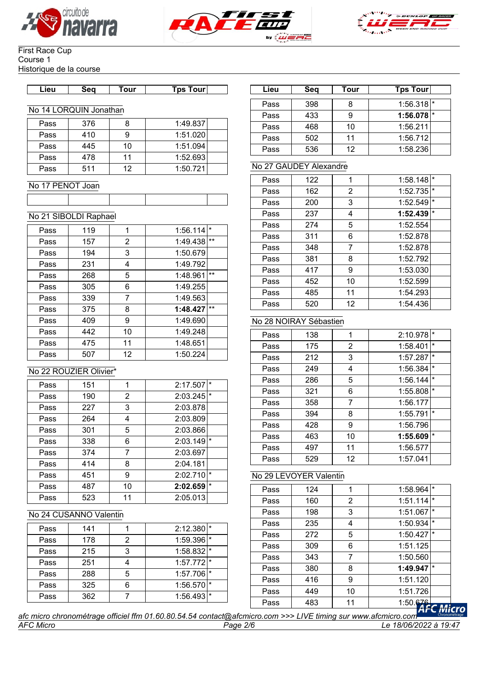





| Lieu | Sea | our | . our<br>「ps | Lieu | Sea | rour | our<br>`ps |
|------|-----|-----|--------------|------|-----|------|------------|
|      |     |     |              |      |     |      |            |

#### No 14 LORQUIN Jonathan

| Pass | 376 |    | 1:49.837 |
|------|-----|----|----------|
| Pass | 410 |    | 1:51.020 |
| Pass | 445 | 10 | 1:51.094 |
| Pass | 478 | 11 | 1:52.693 |
| Pass | 511 | 12 | 1:50.721 |

# No 17 PENOT Joan

# No 21 SIBOLDI Raphael

| Pass | 119 | 1  | 1:56.114 | $\star$ |
|------|-----|----|----------|---------|
| Pass | 157 | 2  | 1:49.438 | $***$   |
| Pass | 194 | 3  | 1:50.679 |         |
| Pass | 231 | 4  | 1:49.792 |         |
| Pass | 268 | 5  | 1:48.961 | $***$   |
| Pass | 305 | 6  | 1:49.255 |         |
| Pass | 339 | 7  | 1:49.563 |         |
| Pass | 375 | 8  | 1:48.427 | $***$   |
| Pass | 409 | 9  | 1:49.690 |         |
| Pass | 442 | 10 | 1:49.248 |         |
| Pass | 475 | 11 | 1:48.651 |         |
| Pass | 507 | 12 | 1:50.224 |         |

## No 22 ROUZIER Olivier\*

| Pass | 151 |    | $\star$<br>2:17.507     |
|------|-----|----|-------------------------|
| Pass | 190 | 2  | l∗<br>2:03.245          |
| Pass | 227 | 3  | 2:03.878                |
| Pass | 264 | 4  | 2:03.809                |
| Pass | 301 | 5  | 2:03.866                |
| Pass | 338 | 6  | $2:03.149$ <sup>*</sup> |
| Pass | 374 | 7  | 2:03.697                |
| Pass | 414 | 8  | 2:04.181                |
| Pass | 451 | 9  | *<br>2:02.710           |
| Pass | 487 | 10 | $\star$<br>2:02.659     |
| Pass | 523 | 11 | 2:05.013                |

# No 24 CUSANNO Valentin

| Pass | 141 |   | 2:12.380                |
|------|-----|---|-------------------------|
| Pass | 178 |   | 1:59.396                |
| Pass | 215 |   | $1:58.832$ <sup>*</sup> |
| Pass | 251 |   | $1:57.772$ <sup>*</sup> |
| Pass | 288 | 5 | 1:57.706                |
| Pass | 325 |   | 1:56.570                |
| Pass | 362 |   | 1:56.493                |

| Lieu | Sea | Tour | <b>Tps Tour</b>         |  |
|------|-----|------|-------------------------|--|
| Pass | 398 |      | $1:56.318$ <sup>*</sup> |  |
|      |     |      |                         |  |
| Pass | 433 |      | 1:56.078                |  |
| Pass | 468 | 10   | 1:56.211                |  |
| Pass | 502 | 11   | 1:56.712                |  |
| Pass | 536 | 12   | 1:58.236                |  |

# No 27 GAUDEY Alexandre

| Pass | 122 | 1              | 1:58.148             |
|------|-----|----------------|----------------------|
| Pass | 162 | $\overline{2}$ | $\star$<br>1:52.735  |
| Pass | 200 | 3              | $\star$<br>1:52.549  |
| Pass | 237 | 4              | $^\star$<br>1:52.439 |
| Pass | 274 | 5              | 1:52.554             |
| Pass | 311 | 6              | 1:52.878             |
| Pass | 348 | 7              | 1:52.878             |
| Pass | 381 | 8              | 1:52.792             |
| Pass | 417 | 9              | 1:53.030             |
| Pass | 452 | 10             | 1:52.599             |
| Pass | 485 | 11             | 1:54.293             |
| Pass | 520 | 12             | 1:54.436             |

# No 28 NOIRAY Sébastien

| Pass | 138 | 1  | $\star$<br>2:10.978 |
|------|-----|----|---------------------|
| Pass | 175 | 2  | $\star$<br>1:58.401 |
| Pass | 212 | 3  | $\star$<br>1:57.287 |
| Pass | 249 | 4  | $\star$<br>1:56.384 |
| Pass | 286 | 5  | $\star$<br>1:56.144 |
| Pass | 321 | 6  | ∣∗<br>1:55.808      |
| Pass | 358 | 7  | 1:56.177            |
| Pass | 394 | 8  | $\star$<br>1:55.791 |
| Pass | 428 | 9  | 1:56.796            |
| Pass | 463 | 10 | $\star$<br>1:55.609 |
| Pass | 497 | 11 | 1:56.577            |
| Pass | 529 | 12 | 1:57.041            |

## No 29 LEVOYER Valentin

| Pass | 124 | 1  | 1:58.964                |         |
|------|-----|----|-------------------------|---------|
| Pass | 160 | 2  | 1:51.114                | l∗      |
| Pass | 198 | 3  | 1:51.067                | $\star$ |
| Pass | 235 | 4  | 1:50.934                | $\star$ |
| Pass | 272 | 5  | $1:50.427$ <sup>*</sup> |         |
| Pass | 309 | 6  | 1:51.125                |         |
| Pass | 343 | 7  | 1:50.560                |         |
| Pass | 380 | 8  | $1:49.947$ <sup>*</sup> |         |
| Pass | 416 | 9  | 1:51.120                |         |
| Pass | 449 | 10 | 1:51.726                |         |
| Pass | 483 | 11 | 1:50.676                |         |

*AFC Micro Page 2/6 Le 18/06/2022 à 19:47 afc micro chronométrage officiel ffm 01.60.80.54.54 contact@afcmicro.com >>> LIVE timing sur www.afcmicro.com*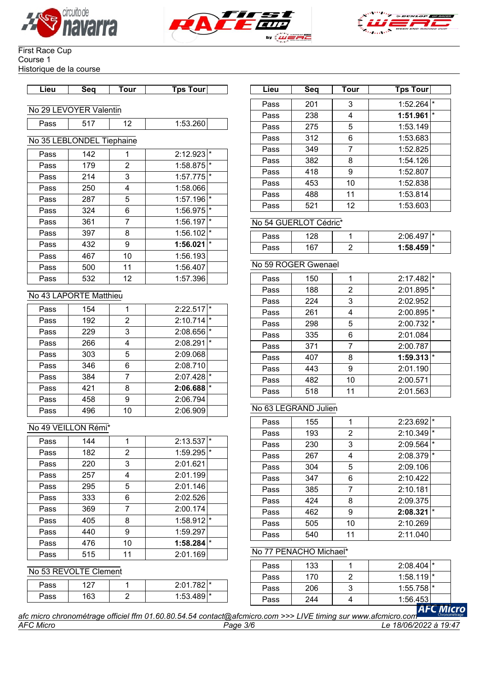





| Sea<br>Sea<br>Tour<br>our<br>`DS<br>Lieu<br>Lieu | rour | `ps<br>our |
|--------------------------------------------------|------|------------|
|--------------------------------------------------|------|------------|

## No 29 LEVOYER Valentin

|  | c |  |
|--|---|--|
|  |   |  |

# No 35 LEBLONDEL Tiephaine

| Pass | 142 | 1  | 2:12.923                | $\star$  |
|------|-----|----|-------------------------|----------|
| Pass | 179 | 2  | 1:58.875                | $\star$  |
| Pass | 214 | 3  | 1:57.775                | $^\star$ |
| Pass | 250 | 4  | 1:58.066                |          |
| Pass | 287 | 5  | $1:57.196$ <sup>*</sup> |          |
| Pass | 324 | 6  | 1:56.975                | $\star$  |
| Pass | 361 | 7  | 1:56.197                | $\star$  |
| Pass | 397 | 8  | $1:56.102$ <sup>*</sup> |          |
| Pass | 432 | 9  | 1:56.021                | $\star$  |
| Pass | 467 | 10 | 1:56.193                |          |
| Pass | 500 | 11 | 1:56.407                |          |
| Pass | 532 | 12 | 1:57.396                |          |

# No 43 LAPORTE Matthieu

| Pass | 154 |    | 2:22.517 | $\star$ |
|------|-----|----|----------|---------|
| Pass | 192 | 2  | 2:10.714 | $\star$ |
| Pass | 229 | 3  | 2:08.656 | $\star$ |
| Pass | 266 | 4  | 2:08.291 | $\star$ |
| Pass | 303 | 5  | 2:09.068 |         |
| Pass | 346 | 6  | 2:08.710 |         |
| Pass | 384 | 7  | 2:07.428 | $\star$ |
| Pass | 421 | 8  | 2:06.688 | $\star$ |
| Pass | 458 | 9  | 2:06.794 |         |
| Pass | 496 | 10 | 2:06.909 |         |

# No 49 VEILLON Rémi\*

| Pass | 144 |    | 2:13.537<br>$\star$     |
|------|-----|----|-------------------------|
| Pass | 182 | 2  | $\star$<br>1:59.295     |
| Pass | 220 | 3  | 2:01.621                |
| Pass | 257 | 4  | 2:01.199                |
| Pass | 295 | 5  | 2:01.146                |
| Pass | 333 | 6  | 2:02.526                |
| Pass | 369 | 7  | 2:00.174                |
| Pass | 405 | 8  | $1:58.912$ <sup>*</sup> |
| Pass | 440 | 9  | 1:59.297                |
| Pass | 476 | 10 | $\star$<br>1:58.284     |
| Pass | 515 | 11 | 2:01.169                |

# No 53 REVOLTE Clement

| Pass |           | $2:01.782$ <sup>*</sup> |  |
|------|-----------|-------------------------|--|
| Pass | .CO<br>O. | $1:53.489$ <sup>*</sup> |  |

| Lieu | Sea | Tour | <b>Tps Tour</b>     |
|------|-----|------|---------------------|
| Pass | 201 | 3    | $\star$<br>1:52.264 |
| Pass | 238 | 4    | $\star$<br>1:51.961 |
| Pass | 275 | 5    | 1:53.149            |
| Pass | 312 | 6    | 1:53.683            |
| Pass | 349 | 7    | 1:52.825            |
| Pass | 382 | 8    | 1:54.126            |
| Pass | 418 | 9    | 1:52.807            |
| Pass | 453 | 10   | 1:52.838            |
| Pass | 488 | 11   | 1:53.814            |
| Pass | 521 | 12   | 1:53.603            |

# No 54 GUERLOT Cédric\*

| Pass |     | $1071*$<br>וטי          |  |
|------|-----|-------------------------|--|
| ass- | -61 | $1:58.459$ <sup>*</sup> |  |

# No 59 ROGER Gwenael

| Pass | 150 |    | 2:17.482                |     |
|------|-----|----|-------------------------|-----|
| Pass | 188 | 2  | 2:01.895                | l * |
| Pass | 224 | 3  | 2:02.952                |     |
| Pass | 261 | 4  | 2:00.895                | l * |
| Pass | 298 | 5  | 2:00.732                | l∗  |
| Pass | 335 | 6  | 2:01.084                |     |
| Pass | 371 | 7  | 2:00.787                |     |
| Pass | 407 | 8  | $1:59.313$ <sup>*</sup> |     |
| Pass | 443 | 9  | 2:01.190                |     |
| Pass | 482 | 10 | 2:00.571                |     |
| Pass | 518 | 11 | 2:01.563                |     |

# No 63 LEGRAND Julien

| Pass | 155 |    | 2:23.692            |
|------|-----|----|---------------------|
| Pass | 193 | 2  | $\star$<br>2:10.349 |
| Pass | 230 | 3  | $\star$<br>2:09.564 |
| Pass | 267 | 4  | $\star$<br>2:08.379 |
| Pass | 304 | 5  | 2:09.106            |
| Pass | 347 | 6  | 2:10.422            |
| Pass | 385 | 7  | 2:10.181            |
| Pass | 424 | 8  | 2:09.375            |
| Pass | 462 | 9  | 2:08.321<br>$\star$ |
| Pass | 505 | 10 | 2:10.269            |
| Pass | 540 | 11 | 2:11.040            |

# No 77 PENACHO Michael\*

| $1:58.119$ <sup>*</sup><br>170<br>Pass<br>$1:55.758$ <sup>*</sup><br>206<br>Pass<br>244<br>1:56.453<br>Pass | Pass | 133 | $2:08.404$ <sup>*</sup> |  |
|-------------------------------------------------------------------------------------------------------------|------|-----|-------------------------|--|
|                                                                                                             |      |     |                         |  |
|                                                                                                             |      |     |                         |  |
|                                                                                                             |      |     |                         |  |

*AFC Micro Page 3/6 Le 18/06/2022 à 19:47 afc micro chronométrage officiel ffm 01.60.80.54.54 contact@afcmicro.com >>> LIVE timing sur www.afcmicro.com*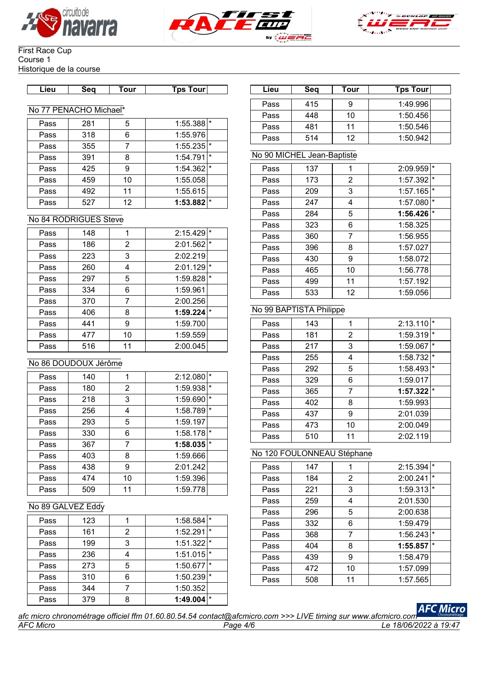





| Lieu | Sea | our | 「ps<br>. our | ∟ieu | Sea | ⊺our | <b>DS</b><br>our |
|------|-----|-----|--------------|------|-----|------|------------------|
|      |     |     |              |      |     |      |                  |

### No 77 PENACHO Michael\*

| Pass | 281 | 5  | $1:55.388$ <sup>*</sup> |  |
|------|-----|----|-------------------------|--|
| Pass | 318 | հ  | 1:55.976                |  |
| Pass | 355 |    | $1:55.235$ <sup>*</sup> |  |
| Pass | 391 |    | 1:54.791                |  |
| Pass | 425 |    | $1:54.362$ <sup>*</sup> |  |
| Pass | 459 | 10 | 1:55.058                |  |
| Pass | 492 | 11 | 1:55.615                |  |
| Pass | 527 | 12 | 1:53.882                |  |

## No 84 RODRIGUES Steve

| Pass | 148 | 1              | $\star$<br>2:15.429 |
|------|-----|----------------|---------------------|
| Pass | 186 | $\overline{2}$ | $\star$<br>2:01.562 |
| Pass | 223 | 3              | 2:02.219            |
| Pass | 260 | 4              | $\star$<br>2:01.129 |
| Pass | 297 | 5              | $\star$<br>1:59.828 |
| Pass | 334 | 6              | 1:59.961            |
| Pass | 370 | 7              | 2:00.256            |
| Pass | 406 | 8              | 1:59.224            |
| Pass | 441 | 9              | 1:59.700            |
| Pass | 477 | 10             | 1:59.559            |
| Pass | 516 | 11             | 2:00.045            |

## No 86 DOUDOUX Jérôme

| Pass | 140 | 1  | 2:12.080 | $\star$ |
|------|-----|----|----------|---------|
| Pass | 180 | 2  | 1:59.938 | $\star$ |
| Pass | 218 | 3  | 1:59.690 | $\star$ |
| Pass | 256 |    | 1:58.789 | $\star$ |
| Pass | 293 | 5  | 1:59.197 |         |
| Pass | 330 | 6  | 1:58.178 | $\star$ |
| Pass | 367 | 7  | 1:58.035 | $\star$ |
| Pass | 403 | 8  | 1:59.666 |         |
| Pass | 438 | 9  | 2:01.242 |         |
| Pass | 474 | 10 | 1:59.396 |         |
| Pass | 509 | 11 | 1:59.778 |         |

## No 89 GALVEZ Eddy

| Pass | 123 |   | 1:58.584                |
|------|-----|---|-------------------------|
| Pass | 161 | 2 | 1:52.291<br>$\star$     |
| Pass | 199 | 3 | $1:51.322$ <sup>*</sup> |
| Pass | 236 |   | $1:51.015$ <sup>*</sup> |
| Pass | 273 | 5 | 1:50.677<br>l *         |
| Pass | 310 | հ | 1:50.239                |
| Pass | 344 |   | 1:50.352                |
| Pass | 379 |   | 1:49.004                |

| Lieu | Sea | Tour | Tps Tour∣ |
|------|-----|------|-----------|
| Pass | 415 |      | 1:49.996  |
| Pass | 448 | 10   | 1:50.456  |
| Pass | 481 | 11   | 1:50.546  |
| Pass | 514 | 19   | 1:50.942  |

# No 90 MICHEL Jean-Baptiste

| Pass | 137 | 1              | 2:09.959<br>$\star$ |
|------|-----|----------------|---------------------|
| Pass | 173 | $\overline{2}$ | l *<br>1:57.392     |
| Pass | 209 | 3              | $\star$<br>1:57.165 |
| Pass | 247 | 4              | $\star$<br>1:57.080 |
| Pass | 284 | 5              | ∣∗<br>1:56.426      |
| Pass | 323 | 6              | 1:58.325            |
| Pass | 360 | 7              | 1:56.955            |
| Pass | 396 | 8              | 1:57.027            |
| Pass | 430 | 9              | 1:58.072            |
| Pass | 465 | 10             | 1:56.778            |
| Pass | 499 | 11             | 1:57.192            |
| Pass | 533 | 12             | 1:59.056            |

# No 99 BAPTISTA Philippe

| Pass | 143 | 1              | 2:13.110<br>l*          |  |
|------|-----|----------------|-------------------------|--|
| Pass | 181 | $\overline{2}$ | $\star$<br>1:59.319     |  |
| Pass | 217 | 3              | $\star$<br>1:59.067     |  |
| Pass | 255 | 4              | $1:58.732$ <sup>*</sup> |  |
| Pass | 292 | 5              | l *<br>1:58.493         |  |
| Pass | 329 | 6              | 1:59.017                |  |
| Pass | 365 | 7              | $1:57.322$ <sup>*</sup> |  |
| Pass | 402 | 8              | 1:59.993                |  |
| Pass | 437 | 9              | 2:01.039                |  |
| Pass | 473 | 10             | 2:00.049                |  |
| Pass | 510 | 11             | 2:02.119                |  |

# No 120 FOULONNEAU Stéphane

| Pass | 147 | 1  | $\star$<br>2:15.394 |
|------|-----|----|---------------------|
| Pass | 184 | 2  | $\star$<br>2:00.241 |
| Pass | 221 | 3  | $\star$<br>1:59.313 |
| Pass | 259 | 4  | 2:01.530            |
| Pass | 296 | 5  | 2:00.638            |
| Pass | 332 | 6  | 1:59.479            |
| Pass | 368 | 7  | $\star$<br>1:56.243 |
| Pass | 404 | 8  | $\star$<br>1:55.857 |
| Pass | 439 | 9  | 1:58.479            |
| Pass | 472 | 10 | 1:57.099            |
| Pass | 508 | 11 | 1:57.565            |

*AFC Micro Page 4/6 Le 18/06/2022 à 19:47* **AFC Micro chronométrage officiel ffm 01.60.80.54.54 contact@afcmicro.com >>> LIVE timing sur www.afcmicro.com**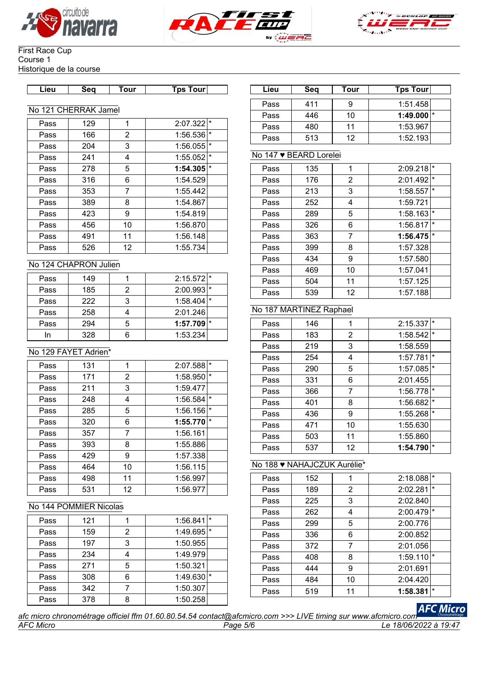





| .ieu | ⊺our | Tourl<br>l DS |  |
|------|------|---------------|--|
|      |      |               |  |

## No 121 CHERRAK Jamel

| Pass | 129 | 1  | $\star$<br>2:07.322  |
|------|-----|----|----------------------|
| Pass | 166 | 2  | $\star$<br>1:56.536  |
| Pass | 204 | 3  | $\star$<br>1:56.055  |
| Pass | 241 | 4  | $\star$<br>1:55.052  |
| Pass | 278 | 5  | $^\star$<br>1:54.305 |
| Pass | 316 | 6  | 1:54.529             |
| Pass | 353 | 7  | 1:55.442             |
| Pass | 389 | 8  | 1:54.867             |
| Pass | 423 | 9  | 1:54.819             |
| Pass | 456 | 10 | 1:56.870             |
| Pass | 491 | 11 | 1:56.148             |
| Pass | 526 | 12 | 1:55.734             |

## No 124 CHAPRON Julien

| Pass | 149 | $2:15.572$ <sup>*</sup> |  |
|------|-----|-------------------------|--|
| Pass | 185 | $2:00.993$ <sup>*</sup> |  |
| Pass | 222 | $1:58.404$ <sup>*</sup> |  |
| Pass | 258 | 2:01.246                |  |
| Pass | 294 | $1:57.709$ <sup>*</sup> |  |
|      | 328 | 1:53.234                |  |

# No 129 FAYET Adrien\*

| Pass | 131 |                | 2:07.588 | 1*       |
|------|-----|----------------|----------|----------|
| Pass | 171 | $\overline{2}$ | 1:58.950 | $\star$  |
| Pass | 211 | 3              | 1:59.477 |          |
| Pass | 248 | 4              | 1:56.584 | $\star$  |
| Pass | 285 | 5              | 1:56.156 | $\star$  |
| Pass | 320 | 6              | 1:55.770 | $^\star$ |
| Pass | 357 | 7              | 1:56.161 |          |
| Pass | 393 | 8              | 1:55.886 |          |
| Pass | 429 | 9              | 1:57.338 |          |
| Pass | 464 | 10             | 1:56.115 |          |
| Pass | 498 | 11             | 1:56.997 |          |
| Pass | 531 | 12             | 1:56.977 |          |

## No 144 POMMIER Nicolas

| Pass | 121 |   | 1:56.841 |
|------|-----|---|----------|
| Pass | 159 | 2 | 1:49.695 |
| Pass | 197 | З | 1:50.955 |
| Pass | 234 |   | 1:49.979 |
| Pass | 271 | 5 | 1:50.321 |
| Pass | 308 | հ | 1:49.630 |
| Pass | 342 |   | 1:50.307 |
| Pass | 378 |   | 1:50.258 |

| Lieu | Sea               | Tour | Tps Tour                | Lieu | Sea | Tour | <b>Tps Tour</b> |
|------|-------------------|------|-------------------------|------|-----|------|-----------------|
|      |                   |      |                         | Pass | 411 | 9    | 1:51.458        |
|      | 121 CHERRAK Jamel |      |                         | Pass | 446 | 10   | 1:49.000 $*$    |
| Pass | 129               |      | $2:07.322$ <sup>*</sup> | Pass | 480 |      | 1:53.967        |
| Pass | 166               |      | $1:56.536$ <sup>*</sup> | Pass | 513 | 12   | 1:52.193        |
|      |                   |      |                         |      |     |      |                 |

# No 147 ♥ BEARD Lorelei

| Pass | 135 | 1  | $\star$<br>2:09.218 |  |
|------|-----|----|---------------------|--|
| Pass | 176 | 2  | l*<br>2:01.492      |  |
| Pass | 213 | 3  | l *<br>1:58.557     |  |
| Pass | 252 | 4  | 1:59.721            |  |
| Pass | 289 | 5  | $\star$<br>1:58.163 |  |
| Pass | 326 | 6  | $\star$<br>1:56.817 |  |
| Pass | 363 | 7  | $\star$<br>1:56.475 |  |
| Pass | 399 | 8  | 1:57.328            |  |
| Pass | 434 | 9  | 1:57.580            |  |
| Pass | 469 | 10 | 1:57.041            |  |
| Pass | 504 | 11 | 1:57.125            |  |
| Pass | 539 | 12 | 1:57.188            |  |

## No 187 MARTINEZ Raphael

| Pass | 146 |                | 2:15.337                | $\star$ |
|------|-----|----------------|-------------------------|---------|
| Pass | 183 | $\overline{2}$ | $1:58.542$ <sup>*</sup> |         |
| Pass | 219 | 3              | 1:58.559                |         |
| Pass | 254 | 4              | 1:57.781                | $\star$ |
| Pass | 290 | 5              | 1:57.085                | $\star$ |
| Pass | 331 | 6              | 2:01.455                |         |
| Pass | 366 | 7              | 1:56.778                | *       |
| Pass | 401 | 8              | $1:56.682$ <sup>*</sup> |         |
| Pass | 436 | 9              | $1:55.268$ <sup>*</sup> |         |
| Pass | 471 | 10             | 1:55.630                |         |
| Pass | 503 | 11             | 1:55.860                |         |
| Pass | 537 | 12             | 1:54.790                | I∗      |

# No 188 ♥ NAHAJCZUK Aurélie\*

| Pass | 152 | 1  | 2:18.088<br>$\star$ |
|------|-----|----|---------------------|
| Pass | 189 | 2  | $\star$<br>2:02.281 |
| Pass | 225 | 3  | 2:02.840            |
| Pass | 262 | 4  | $\star$<br>2:00.479 |
| Pass | 299 | 5  | 2:00.776            |
| Pass | 336 | 6  | 2:00.852            |
| Pass | 372 | 7  | 2:01.056            |
| Pass | 408 | 8  | l *<br>1:59.110     |
| Pass | 444 | 9  | 2:01.691            |
| Pass | 484 | 10 | 2:04.420            |
| Pass | 519 | 11 | $\star$<br>1:58.381 |

*AFC Micro Page 5/6 Le 18/06/2022 à 19:47* **AFC Micro chronométrage officiel ffm 01.60.80.54.54 contact@afcmicro.com >>> LIVE timing sur www.afcmicro.com**